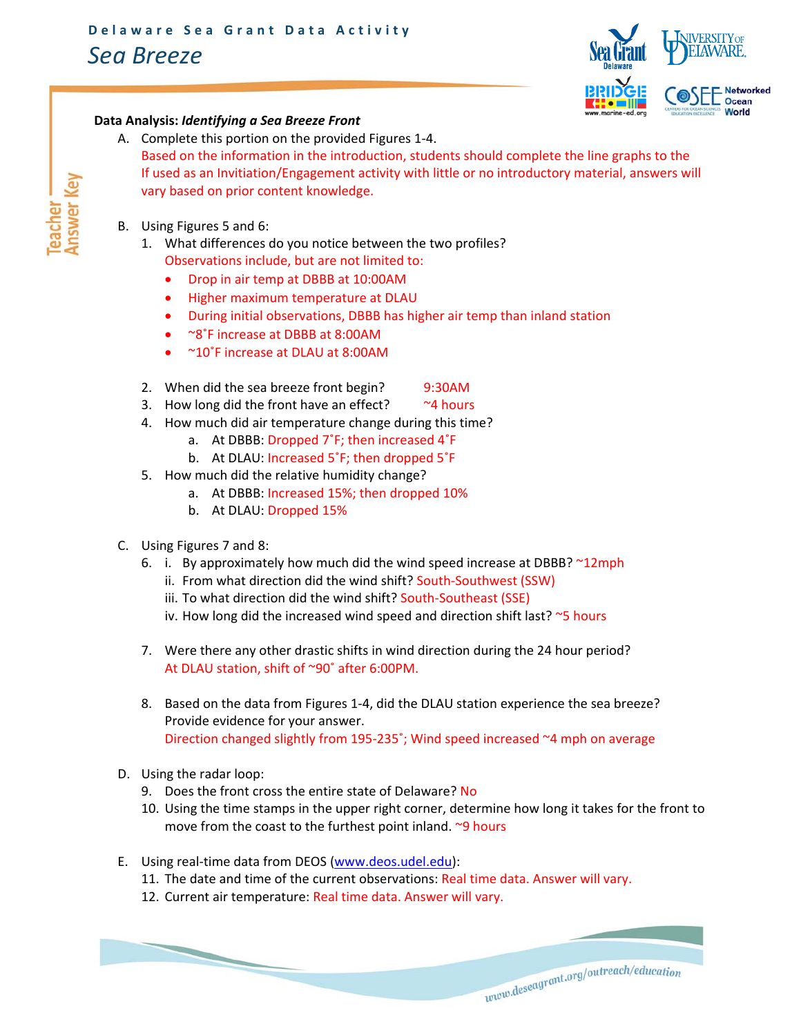## *Sea Breeze*



## **Data Analysis:** *Identifying a Sea Breeze Front*

- A. Complete this portion on the provided Figures 1‐4. Based on the information in the introduction, students should complete the line graphs to the If used as an Invitiation/Engagement activity with little or no introductory material, answers will vary based on prior content knowledge.
- B. Using Figures 5 and 6:
	- 1. What differences do you notice between the two profiles? Observations include, but are not limited to:
		- Drop in air temp at DBBB at 10:00AM
		- Higher maximum temperature at DLAU
		- During initial observations, DBBB has higher air temp than inland station
		- <sup>~8°</sup>F increase at DBBB at 8:00AM
		- ~10°F increase at DLAU at 8:00AM
	- 2. When did the sea breeze front begin? 9:30AM
	- 3. How long did the front have an effect?  $\sim$  4 hours
	- 4. How much did air temperature change during this time?
		- a. At DBBB: Dropped 7˚F; then increased 4˚F
		- b. At DLAU: Increased 5˚F; then dropped 5˚F
	- 5. How much did the relative humidity change?
		- a. At DBBB: Increased 15%; then dropped 10%
		- b. At DLAU: Dropped 15%
- C. Using Figures 7 and 8:
	- 6. i. By approximately how much did the wind speed increase at DBBB? ~12mph
		- ii. From what direction did the wind shift? South-Southwest (SSW)
		- iii. To what direction did the wind shift? South-Southeast (SSE)
		- iv. How long did the increased wind speed and direction shift last?  $\sim$ 5 hours
	- 7. Were there any other drastic shifts in wind direction during the 24 hour period? At DLAU station, shift of ~90˚ after 6:00PM.
	- 8. Based on the data from Figures 1‐4, did the DLAU station experience the sea breeze? Provide evidence for your answer. Direction changed slightly from 195‐235˚; Wind speed increased ~4 mph on average
- D. Using the radar loop:
	- 9. Does the front cross the entire state of Delaware? No
	- 10. Using the time stamps in the upper right corner, determine how long it takes for the front to move from the coast to the furthest point inland. ~9 hours

 ${ \it two} {\it descagrant.org/outreach/education}$ 

E. Using real-time data from DEOS (www.deos.udel.edu):

- 11. The date and time of the current observations: Real time data. Answer will vary.
- 12. Current air temperature: Real time data. Answer will vary.

*Answer* eacher<sup>-</sup> *Key*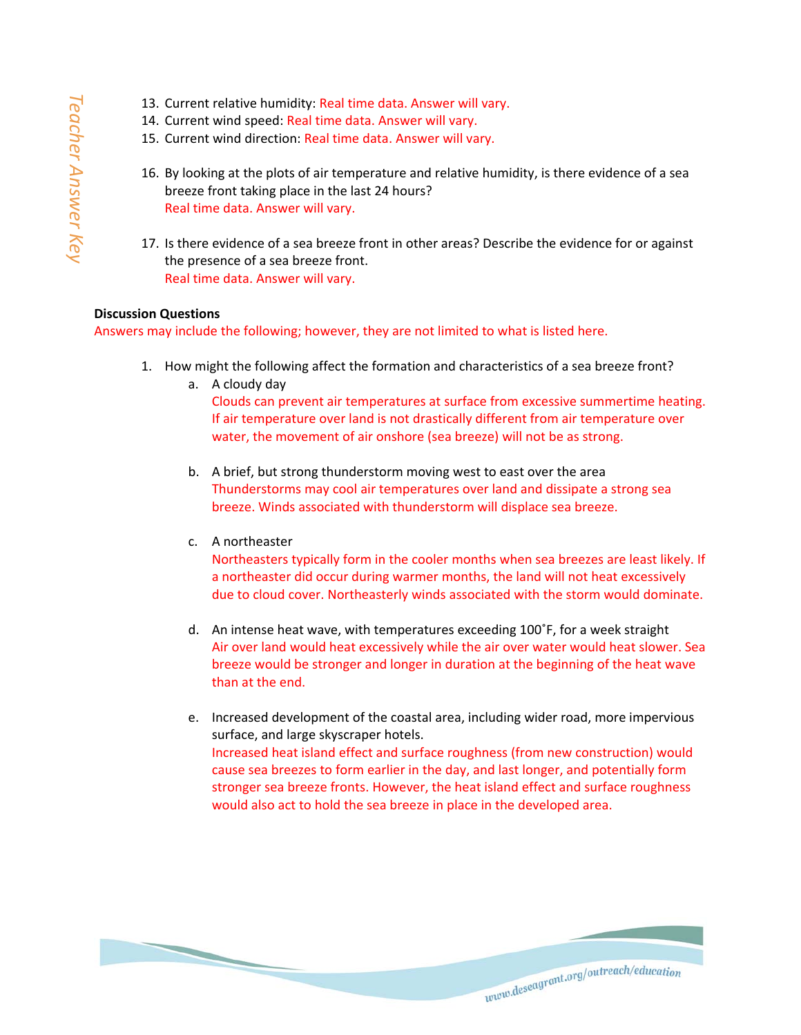- 13. Current relative humidity: Real time data. Answer will vary.
- 14. Current wind speed: Real time data. Answer will vary.
- 15. Current wind direction: Real time data. Answer will vary.
- 16. By looking at the plots of air temperature and relative humidity, is there evidence of a sea breeze front taking place in the last 24 hours? Real time data. Answer will vary.
- 17. Is there evidence of a sea breeze front in other areas? Describe the evidence for or against the presence of a sea breeze front. Real time data. Answer will vary.

## **Discussion Questions**

Answers may include the following; however, they are not limited to what is listed here.

- 1. How might the following affect the formation and characteristics of a sea breeze front?
	- a. A cloudy day Clouds can prevent air temperatures at surface from excessive summertime heating. If air temperature over land is not drastically different from air temperature over water, the movement of air onshore (sea breeze) will not be as strong.
	- b. A brief, but strong thunderstorm moving west to east over the area Thunderstorms may cool air temperatures over land and dissipate a strong sea breeze. Winds associated with thunderstorm will displace sea breeze.
	- c. A northeaster

Northeasters typically form in the cooler months when sea breezes are least likely. If a northeaster did occur during warmer months, the land will not heat excessively due to cloud cover. Northeasterly winds associated with the storm would dominate.

- d. An intense heat wave, with temperatures exceeding 100˚F, for a week straight Air over land would heat excessively while the air over water would heat slower. Sea breeze would be stronger and longer in duration at the beginning of the heat wave than at the end.
- e. Increased development of the coastal area, including wider road, more impervious surface, and large skyscraper hotels. Increased heat island effect and surface roughness (from new construction) would cause sea breezes to form earlier in the day, and last longer, and potentially form stronger sea breeze fronts. However, the heat island effect and surface roughness would also act to hold the sea breeze in place in the developed area.